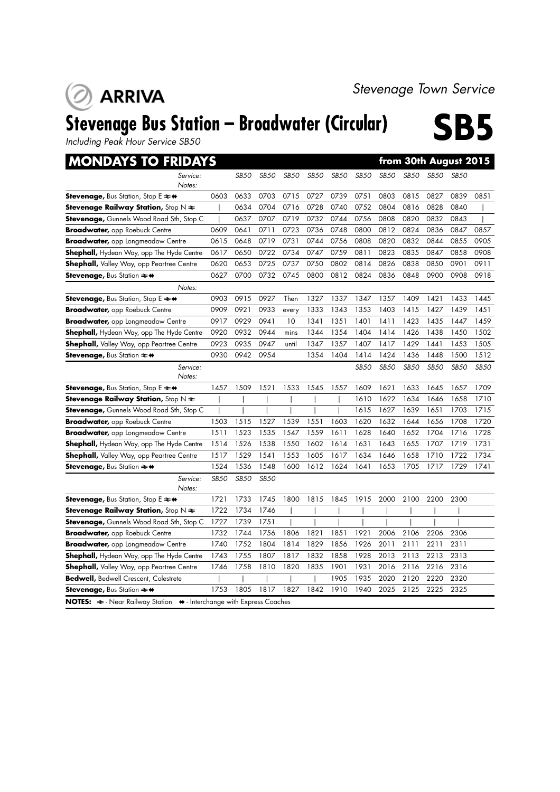## **ARRIVA**

## Stevenage Bus Station – Broadwater (Circular) **SB5**

*Including Peak Hour Service SB50*

| <b>MONDAYS TO FRIDAYS</b>                                                                           |             |             |             |       |             |      |             |             | from 30th August 2015 |             |             |             |
|-----------------------------------------------------------------------------------------------------|-------------|-------------|-------------|-------|-------------|------|-------------|-------------|-----------------------|-------------|-------------|-------------|
| Service:                                                                                            |             | SB50        | SB50        | SB50  | <b>SB50</b> | SB50 | <b>SB50</b> | <b>SB50</b> | SB50                  | SB50        | <b>SB50</b> |             |
| Notes:                                                                                              |             |             |             |       |             |      |             |             |                       |             |             |             |
| Stevenage, Bus Station, Stop E ≥+                                                                   | 0603        | 0633        | 0703        | 0715  | 0727        | 0739 | 0751        | 0803        | 0815                  | 0827        | 0839        | 0851        |
| <b>Stevenage Railway Station,</b> Stop N $\bigstar$                                                 |             | 0634        | 0704        | 0716  | 0728        | 0740 | 0752        | 0804        | 0816                  | 0828        | 0840        |             |
| <b>Stevenage,</b> Gunnels Wood Road Sth, Stop C                                                     |             | 0637        | 0707        | 0719  | 0732        | 0744 | 0756        | 0808        | 0820                  | 0832        | 0843        |             |
| <b>Broadwater, opp Roebuck Centre</b>                                                               | 0609        | 0641        | 0711        | 0723  | 0736        | 0748 | 0800        | 0812        | 0824                  | 0836        | 0847        | 0857        |
| <b>Broadwater, opp Longmeadow Centre</b>                                                            | 0615        | 0648        | 0719        | 0731  | 0744        | 0756 | 0808        | 0820        | 0832                  | 0844        | 0855        | 0905        |
| <b>Shephall,</b> Hydean Way, opp The Hyde Centre                                                    | 0617        | 0650        | 0722        | 0734  | 0747        | 0759 | 0811        | 0823        | 0835                  | 0847        | 0858        | 0908        |
| Shephall, Valley Way, opp Peartree Centre                                                           | 0620        | 0653        | 0725        | 0737  | 0750        | 0802 | 0814        | 0826        | 0838                  | 0850        | 0901        | 0911        |
| Stevenage, Bus Station $\rightleftharpoons$ $\leftrightarrow$                                       | 0627        | 0700        | 0732        | 0745  | 0800        | 0812 | 0824        | 0836        | 0848                  | 0900        | 0908        | 0918        |
| Notes:                                                                                              |             |             |             |       |             |      |             |             |                       |             |             |             |
| <b>Stevenage, Bus Station, Stop E <math>\rightleftarrows</math> <math>\leftrightarrow</math></b>    | 0903        | 0915        | 0927        | Then  | 1327        | 1337 | 1347        | 1357        | 1409                  | 1421        | 1433        | 1445        |
| <b>Broadwater, opp Roebuck Centre</b>                                                               | 0909        | 0921        | 0933        | every | 1333        | 1343 | 1353        | 1403        | 1415                  | 1427        | 1439        | 1451        |
| <b>Broadwater,</b> opp Longmeadow Centre                                                            | 0917        | 0929        | 0941        | 10    | 1341        | 1351 | 1401        | 1411        | 1423                  | 1435        | 1447        | 1459        |
| Shephall, Hydean Way, opp The Hyde Centre                                                           | 0920        | 0932        | 0944        | mins  | 1344        | 1354 | 1404        | 1414        | 1426                  | 1438        | 1450        | 1502        |
| <b>Shephall,</b> Valley Way, opp Peartree Centre                                                    | 0923        | 0935        | 0947        | until | 1347        | 1357 | 1407        | 1417        | 1429                  | 1441        | 1453        | 1505        |
| <b>Stevenage, Bus Station <math>\rightleftarrows</math> <math>\leftrightarrow</math></b>            | 0930        | 0942        | 0954        |       | 1354        | 1404 | 1414        | 1424        | 1436                  | 1448        | 1500        | 1512        |
| Service:<br>Notes:                                                                                  |             |             |             |       |             |      | <b>SB50</b> | <b>SB50</b> | <b>SB50</b>           | <b>SB50</b> | <b>SB50</b> | <b>SB50</b> |
| <b>Stevenage, Bus Station, Stop E <math>\rightleftarrows</math> <math>\leftrightarrow</math></b>    | 1457        | 1509        | 1521        | 1533  | 1545        | 1557 | 1609        | 1621        | 1633                  | 1645        | 1657        | 1709        |
| <b>Stevenage Railway Station,</b> Stop N $\bigstar$                                                 |             |             |             |       |             |      | 1610        | 1622        | 1634                  | 1646        | 1658        | 1710        |
| <b>Stevenage,</b> Gunnels Wood Road Sth, Stop C                                                     |             |             |             |       |             |      | 1615        | 1627        | 1639                  | 1651        | 1703        | 1715        |
| Broadwater, opp Roebuck Centre                                                                      | 1503        | 1515        | 1527        | 1539  | 1551        | 1603 | 1620        | 1632        | 1644                  | 1656        | 1708        | 1720        |
| <b>Broadwater,</b> opp Longmeadow Centre                                                            | 1511        | 1523        | 1535        | 1547  | 1559        | 1611 | 1628        | 1640        | 1652                  | 1704        | 1716        | 1728        |
| Shephall, Hydean Way, opp The Hyde Centre                                                           | 1514        | 1526        | 1538        | 1550  | 1602        | 1614 | 1631        | 1643        | 1655                  | 1707        | 1719        | 1731        |
| <b>Shephall,</b> Valley Way, opp Peartree Centre                                                    | 1517        | 1529        | 1541        | 1553  | 1605        | 1617 | 1634        | 1646        | 1658                  | 1710        | 1722        | 1734        |
| <b>Stevenage, Bus Station <math>\rightleftarrows</math> <math>\leftrightarrow</math></b>            | 1524        | 1536        | 1548        | 1600  | 1612        | 1624 | 1641        | 1653        | 1705                  | 1717        | 1729        | 1741        |
| Service:<br>Notes:                                                                                  | <b>SB50</b> | <b>SB50</b> | <b>SB50</b> |       |             |      |             |             |                       |             |             |             |
| Stevenage, Bus Station, Stop E $\rightleftharpoons$ $\leftrightarrow$                               | 1721        | 1733        | 1745        | 1800  | 1815        | 1845 | 1915        | 2000        | 2100                  | 2200        | 2300        |             |
| <b>Stevenage Railway Station,</b> Stop $N \geq$                                                     | 1722        | 1734        | 1746        |       |             |      |             |             |                       |             |             |             |
| <b>Stevenage,</b> Gunnels Wood Road Sth, Stop C                                                     | 1727        | 1739        | 1751        |       |             |      |             |             |                       |             |             |             |
| <b>Broadwater, opp Roebuck Centre</b>                                                               | 1732        | 1744        | 1756        | 1806  | 1821        | 1851 | 1921        | 2006        | 2106                  | 2206        | 2306        |             |
| <b>Broadwater,</b> opp Longmeadow Centre                                                            | 1740        | 1752        | 1804        | 1814  | 1829        | 1856 | 1926        | 2011        | 2111                  | 2211        | 2311        |             |
| Shephall, Hydean Way, opp The Hyde Centre                                                           | 1743        | 1755        | 1807        | 1817  | 1832        | 1858 | 1928        | 2013        | 2113                  | 2213        | 2313        |             |
| <b>Shephall,</b> Valley Way, opp Peartree Centre                                                    | 1746        | 1758        | 1810        | 1820  | 1835        | 1901 | 1931        | 2016        | 2116                  | 2216        | 2316        |             |
| <b>Bedwell, Bedwell Crescent, Colestrete</b>                                                        |             |             |             |       |             | 1905 | 1935        | 2020        | 2120                  | 2220        | 2320        |             |
| <b>Stevenage, Bus Station <math>\rightleftarrows</math> <math>\leftrightarrow</math></b>            | 1753        | 1805        | 1817        | 1827  | 1842        | 1910 | 1940        | 2025        | 2125                  | 2225        | 2325        |             |
| <b>NOTES:</b> $\approx$ - Near Railway Station $\leftrightarrow$ - Interchange with Express Coaches |             |             |             |       |             |      |             |             |                       |             |             |             |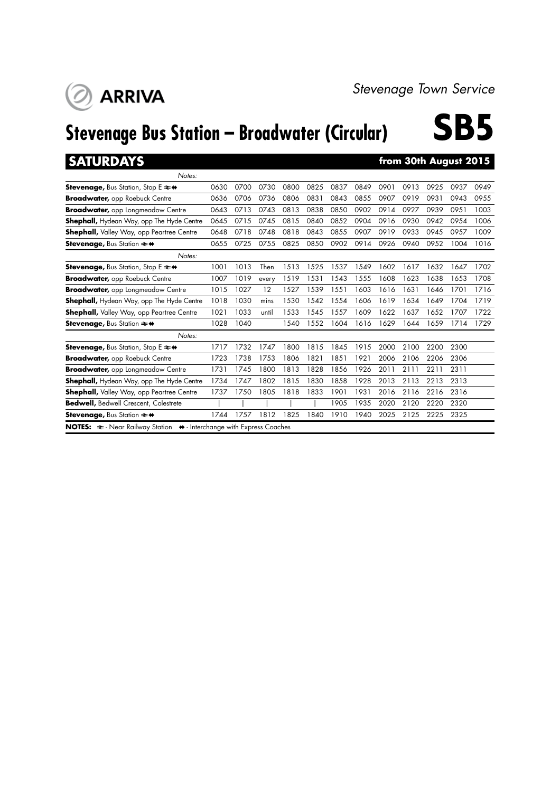# **Stevenage Bus Station – Broadwater (Circular) SB5**

**ARRIVA** 

**SATURDAYS from 30th August 2015** 

| Notes:                                                                                       |      |      |       |      |      |      |      |      |      |      |      |      |
|----------------------------------------------------------------------------------------------|------|------|-------|------|------|------|------|------|------|------|------|------|
| <b>Stevenage, Bus Station, Stop E <math>\neq \bullet</math></b>                              | 0630 | 0700 | 0730  | 0800 | 0825 | 0837 | 0849 | 0901 | 0913 | 0925 | 0937 | 0949 |
| <b>Broadwater, opp Roebuck Centre</b>                                                        | 0636 | 0706 | 0736  | 0806 | 0831 | 0843 | 0855 | 0907 | 0919 | 0931 | 0943 | 0955 |
| <b>Broadwater, opp Longmeadow Centre</b>                                                     | 0643 | 0713 | 0743  | 0813 | 0838 | 0850 | 0902 | 0914 | 0927 | 0939 | 0951 | 1003 |
| <b>Shephall,</b> Hydean Way, opp The Hyde Centre                                             | 0645 | 0715 | 0745  | 0815 | 0840 | 0852 | 0904 | 0916 | 0930 | 0942 | 0954 | 1006 |
| <b>Shephall, Valley Way, opp Peartree Centre</b>                                             | 0648 | 0718 | 0748  | 0818 | 0843 | 0855 | 0907 | 0919 | 0933 | 0945 | 0957 | 1009 |
| <b>Stevenage, Bus Station <math>\approx</math> <math>\leftrightarrow</math></b>              | 0655 | 0725 | 0755  | 0825 | 0850 | 0902 | 0914 | 0926 | 0940 | 0952 | 1004 | 1016 |
| Notes:                                                                                       |      |      |       |      |      |      |      |      |      |      |      |      |
| <b>Stevenage, Bus Station, Stop E <math>\neq \leftrightarrow</math></b>                      | 1001 | 1013 | Then  | 1513 | 1525 | 1537 | 1549 | 1602 | 1617 | 1632 | 1647 | 1702 |
| <b>Broadwater, opp Roebuck Centre</b>                                                        | 1007 | 1019 | every | 1519 | 1531 | 1543 | 1555 | 1608 | 1623 | 1638 | 1653 | 1708 |
| <b>Broadwater, opp Longmeadow Centre</b>                                                     | 1015 | 1027 | 12    | 1527 | 1539 | 1551 | 1603 | 1616 | 1631 | 1646 | 1701 | 1716 |
| <b>Shephall,</b> Hydean Way, opp The Hyde Centre                                             | 1018 | 1030 | mins  | 1530 | 1542 | 1554 | 1606 | 1619 | 1634 | 1649 | 1704 | 1719 |
| <b>Shephall,</b> Valley Way, opp Peartree Centre                                             | 1021 | 1033 | until | 1533 | 1545 | 1557 | 1609 | 1622 | 1637 | 1652 | 1707 | 1722 |
| <b>Stevenage, Bus Station <math>\approx</math> <math>\leftrightarrow</math></b>              | 1028 | 1040 |       | 1540 | 1552 | 1604 | 1616 | 1629 | 1644 | 1659 | 1714 | 1729 |
| Notes:                                                                                       |      |      |       |      |      |      |      |      |      |      |      |      |
| Stevenage, Bus Station, Stop E ≥+                                                            | 1717 | 1732 | 1747  | 1800 | 1815 | 1845 | 1915 | 2000 | 2100 | 2200 | 2300 |      |
| <b>Broadwater, opp Roebuck Centre</b>                                                        | 1723 | 1738 | 1753  | 1806 | 1821 | 1851 | 1921 | 2006 | 2106 | 2206 | 2306 |      |
| <b>Broadwater, opp Longmeadow Centre</b>                                                     | 1731 | 1745 | 1800  | 1813 | 1828 | 1856 | 1926 | 2011 | 2111 | 2211 | 2311 |      |
| <b>Shephall, Hydean Way, opp The Hyde Centre</b>                                             | 1734 | 1747 | 1802  | 1815 | 1830 | 1858 | 1928 | 2013 | 2113 | 2213 | 2313 |      |
| <b>Shephall,</b> Valley Way, opp Peartree Centre                                             | 1737 | 1750 | 1805  | 1818 | 1833 | 1901 | 1931 | 2016 | 2116 | 2216 | 2316 |      |
| <b>Bedwell, Bedwell Crescent, Colestrete</b>                                                 |      |      |       |      |      | 1905 | 1935 | 2020 | 2120 | 2220 | 2320 |      |
| <b>Stevenage, Bus Station <math>\approx</math> <math>\leftrightarrow</math></b>              | 1744 | 1757 | 1812  | 1825 | 1840 | 1910 | 1940 | 2025 | 2125 | 2225 | 2325 |      |
| NOTES: $\approx$ - Near Railway Station $\leftrightarrow$ - Interchange with Express Coaches |      |      |       |      |      |      |      |      |      |      |      |      |